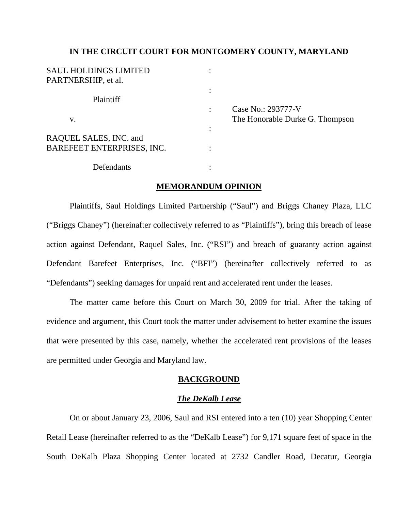## **IN THE CIRCUIT COURT FOR MONTGOMERY COUNTY, MARYLAND**

| <b>SAUL HOLDINGS LIMITED</b> |   |                                 |
|------------------------------|---|---------------------------------|
| PARTNERSHIP, et al.          |   |                                 |
|                              |   |                                 |
| Plaintiff                    |   |                                 |
|                              |   | Case No.: 293777-V              |
| V.                           |   | The Honorable Durke G. Thompson |
|                              | ٠ |                                 |
| RAQUEL SALES, INC. and       |   |                                 |
| BAREFEET ENTERPRISES, INC.   |   |                                 |
| Defendants                   |   |                                 |

### **MEMORANDUM OPINION**

 Plaintiffs, Saul Holdings Limited Partnership ("Saul") and Briggs Chaney Plaza, LLC ("Briggs Chaney") (hereinafter collectively referred to as "Plaintiffs"), bring this breach of lease action against Defendant, Raquel Sales, Inc. ("RSI") and breach of guaranty action against Defendant Barefeet Enterprises, Inc. ("BFI") (hereinafter collectively referred to as "Defendants") seeking damages for unpaid rent and accelerated rent under the leases.

 The matter came before this Court on March 30, 2009 for trial. After the taking of evidence and argument, this Court took the matter under advisement to better examine the issues that were presented by this case, namely, whether the accelerated rent provisions of the leases are permitted under Georgia and Maryland law.

## **BACKGROUND**

### *The DeKalb Lease*

On or about January 23, 2006, Saul and RSI entered into a ten (10) year Shopping Center Retail Lease (hereinafter referred to as the "DeKalb Lease") for 9,171 square feet of space in the South DeKalb Plaza Shopping Center located at 2732 Candler Road, Decatur, Georgia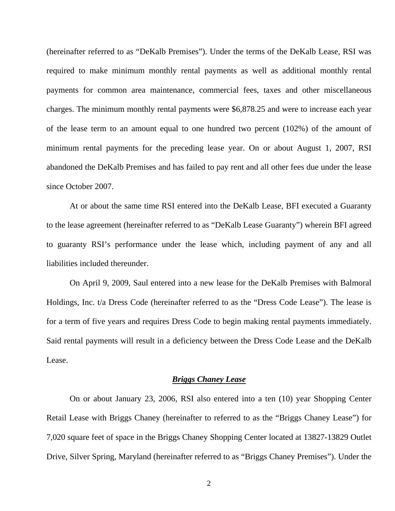(hereinafter referred to as "DeKalb Premises"). Under the terms of the DeKalb Lease, RSI was required to make minimum monthly rental payments as well as additional monthly rental payments for common area maintenance, commercial fees, taxes and other miscellaneous charges. The minimum monthly rental payments were \$6,878.25 and were to increase each year of the lease term to an amount equal to one hundred two percent (102%) of the amount of minimum rental payments for the preceding lease year. On or about August 1, 2007, RSI abandoned the DeKalb Premises and has failed to pay rent and all other fees due under the lease since October 2007.

At or about the same time RSI entered into the DeKalb Lease, BFI executed a Guaranty to the lease agreement (hereinafter referred to as "DeKalb Lease Guaranty") wherein BFI agreed to guaranty RSI's performance under the lease which, including payment of any and all liabilities included thereunder.

 On April 9, 2009, Saul entered into a new lease for the DeKalb Premises with Balmoral Holdings, Inc. t/a Dress Code (hereinafter referred to as the "Dress Code Lease"). The lease is for a term of five years and requires Dress Code to begin making rental payments immediately. Said rental payments will result in a deficiency between the Dress Code Lease and the DeKalb Lease.

## *Briggs Chaney Lease*

On or about January 23, 2006, RSI also entered into a ten (10) year Shopping Center Retail Lease with Briggs Chaney (hereinafter to referred to as the "Briggs Chaney Lease") for 7,020 square feet of space in the Briggs Chaney Shopping Center located at 13827-13829 Outlet Drive, Silver Spring, Maryland (hereinafter referred to as "Briggs Chaney Premises"). Under the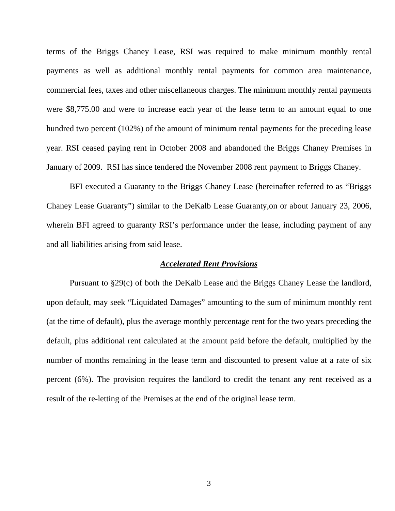terms of the Briggs Chaney Lease, RSI was required to make minimum monthly rental payments as well as additional monthly rental payments for common area maintenance, commercial fees, taxes and other miscellaneous charges. The minimum monthly rental payments were \$8,775.00 and were to increase each year of the lease term to an amount equal to one hundred two percent (102%) of the amount of minimum rental payments for the preceding lease year. RSI ceased paying rent in October 2008 and abandoned the Briggs Chaney Premises in January of 2009. RSI has since tendered the November 2008 rent payment to Briggs Chaney.

BFI executed a Guaranty to the Briggs Chaney Lease (hereinafter referred to as "Briggs Chaney Lease Guaranty") similar to the DeKalb Lease Guaranty,on or about January 23, 2006, wherein BFI agreed to guaranty RSI's performance under the lease, including payment of any and all liabilities arising from said lease.

# *Accelerated Rent Provisions*

 Pursuant to §29(c) of both the DeKalb Lease and the Briggs Chaney Lease the landlord, upon default, may seek "Liquidated Damages" amounting to the sum of minimum monthly rent (at the time of default), plus the average monthly percentage rent for the two years preceding the default, plus additional rent calculated at the amount paid before the default, multiplied by the number of months remaining in the lease term and discounted to present value at a rate of six percent (6%). The provision requires the landlord to credit the tenant any rent received as a result of the re-letting of the Premises at the end of the original lease term.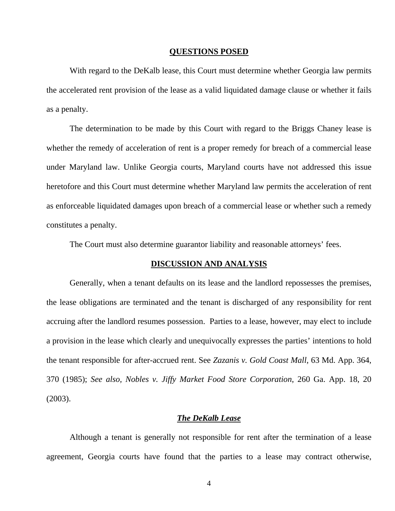#### **QUESTIONS POSED**

With regard to the DeKalb lease, this Court must determine whether Georgia law permits the accelerated rent provision of the lease as a valid liquidated damage clause or whether it fails as a penalty.

The determination to be made by this Court with regard to the Briggs Chaney lease is whether the remedy of acceleration of rent is a proper remedy for breach of a commercial lease under Maryland law. Unlike Georgia courts, Maryland courts have not addressed this issue heretofore and this Court must determine whether Maryland law permits the acceleration of rent as enforceable liquidated damages upon breach of a commercial lease or whether such a remedy constitutes a penalty.

The Court must also determine guarantor liability and reasonable attorneys' fees.

# **DISCUSSION AND ANALYSIS**

 Generally, when a tenant defaults on its lease and the landlord repossesses the premises, the lease obligations are terminated and the tenant is discharged of any responsibility for rent accruing after the landlord resumes possession. Parties to a lease, however, may elect to include a provision in the lease which clearly and unequivocally expresses the parties' intentions to hold the tenant responsible for after-accrued rent. See *Zazanis v. Gold Coast Mall*, 63 Md. App. 364, 370 (1985); *See also, Nobles v. Jiffy Market Food Store Corporation*, 260 Ga. App. 18, 20 (2003).

### *The DeKalb Lease*

Although a tenant is generally not responsible for rent after the termination of a lease agreement, Georgia courts have found that the parties to a lease may contract otherwise,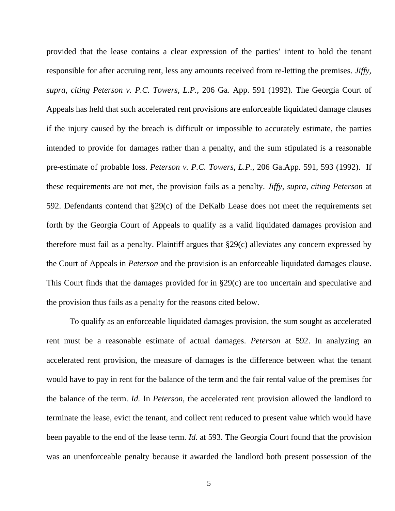provided that the lease contains a clear expression of the parties' intent to hold the tenant responsible for after accruing rent, less any amounts received from re-letting the premises. *Jiffy, supra, citing Peterson v. P.C. Towers, L.P.*, 206 Ga. App. 591 (1992). The Georgia Court of Appeals has held that such accelerated rent provisions are enforceable liquidated damage clauses if the injury caused by the breach is difficult or impossible to accurately estimate, the parties intended to provide for damages rather than a penalty, and the sum stipulated is a reasonable pre-estimate of probable loss. *Peterson v. P.C. Towers, L.P.*, 206 Ga.App. 591, 593 (1992). If these requirements are not met, the provision fails as a penalty. *Jiffy, supra, citing Peterson* at 592. Defendants contend that §29(c) of the DeKalb Lease does not meet the requirements set forth by the Georgia Court of Appeals to qualify as a valid liquidated damages provision and therefore must fail as a penalty. Plaintiff argues that §29(c) alleviates any concern expressed by the Court of Appeals in *Peterson* and the provision is an enforceable liquidated damages clause. This Court finds that the damages provided for in §29(c) are too uncertain and speculative and the provision thus fails as a penalty for the reasons cited below.

To qualify as an enforceable liquidated damages provision, the sum sought as accelerated rent must be a reasonable estimate of actual damages. *Peterson* at 592. In analyzing an accelerated rent provision, the measure of damages is the difference between what the tenant would have to pay in rent for the balance of the term and the fair rental value of the premises for the balance of the term. *Id.* In *Peterson*, the accelerated rent provision allowed the landlord to terminate the lease, evict the tenant, and collect rent reduced to present value which would have been payable to the end of the lease term. *Id.* at 593. The Georgia Court found that the provision was an unenforceable penalty because it awarded the landlord both present possession of the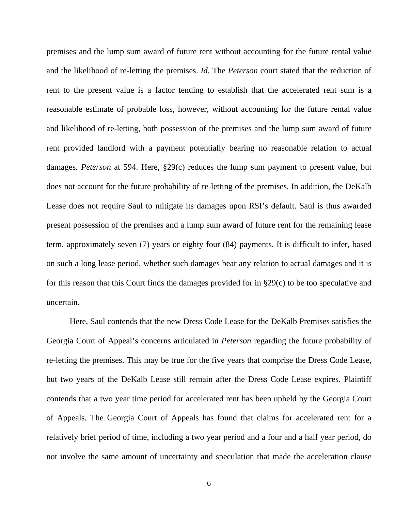premises and the lump sum award of future rent without accounting for the future rental value and the likelihood of re-letting the premises. *Id.* The *Peterson* court stated that the reduction of rent to the present value is a factor tending to establish that the accelerated rent sum is a reasonable estimate of probable loss, however, without accounting for the future rental value and likelihood of re-letting, both possession of the premises and the lump sum award of future rent provided landlord with a payment potentially bearing no reasonable relation to actual damages. *Peterson* at 594. Here, §29(c) reduces the lump sum payment to present value, but does not account for the future probability of re-letting of the premises. In addition, the DeKalb Lease does not require Saul to mitigate its damages upon RSI's default. Saul is thus awarded present possession of the premises and a lump sum award of future rent for the remaining lease term, approximately seven (7) years or eighty four (84) payments. It is difficult to infer, based on such a long lease period, whether such damages bear any relation to actual damages and it is for this reason that this Court finds the damages provided for in §29(c) to be too speculative and uncertain.

 Here, Saul contends that the new Dress Code Lease for the DeKalb Premises satisfies the Georgia Court of Appeal's concerns articulated in *Peterson* regarding the future probability of re-letting the premises. This may be true for the five years that comprise the Dress Code Lease, but two years of the DeKalb Lease still remain after the Dress Code Lease expires. Plaintiff contends that a two year time period for accelerated rent has been upheld by the Georgia Court of Appeals. The Georgia Court of Appeals has found that claims for accelerated rent for a relatively brief period of time, including a two year period and a four and a half year period, do not involve the same amount of uncertainty and speculation that made the acceleration clause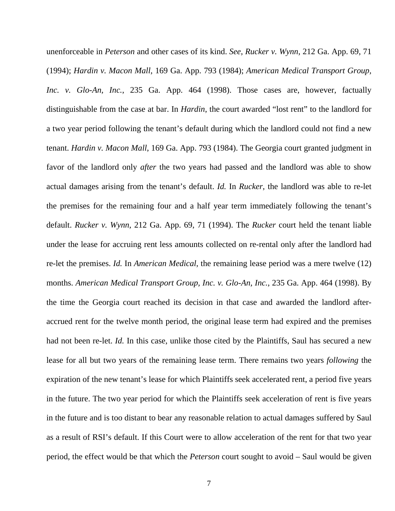unenforceable in *Peterson* and other cases of its kind. *See*, *Rucker v. Wynn*, 212 Ga. App. 69, 71 (1994); *Hardin v. Macon Mall*, 169 Ga. App. 793 (1984); *American Medical Transport Group, Inc. v. Glo-An, Inc.*, 235 Ga. App. 464 (1998). Those cases are, however, factually distinguishable from the case at bar. In *Hardin*, the court awarded "lost rent" to the landlord for a two year period following the tenant's default during which the landlord could not find a new tenant. *Hardin v. Macon Mall*, 169 Ga. App. 793 (1984). The Georgia court granted judgment in favor of the landlord only *after* the two years had passed and the landlord was able to show actual damages arising from the tenant's default. *Id.* In *Rucker*, the landlord was able to re-let the premises for the remaining four and a half year term immediately following the tenant's default. *Rucker v. Wynn*, 212 Ga. App. 69, 71 (1994). The *Rucker* court held the tenant liable under the lease for accruing rent less amounts collected on re-rental only after the landlord had re-let the premises. *Id.* In *American Medical*, the remaining lease period was a mere twelve (12) months. *American Medical Transport Group, Inc. v. Glo-An, Inc.*, 235 Ga. App. 464 (1998). By the time the Georgia court reached its decision in that case and awarded the landlord afteraccrued rent for the twelve month period, the original lease term had expired and the premises had not been re-let. *Id.* In this case, unlike those cited by the Plaintiffs, Saul has secured a new lease for all but two years of the remaining lease term. There remains two years *following* the expiration of the new tenant's lease for which Plaintiffs seek accelerated rent, a period five years in the future. The two year period for which the Plaintiffs seek acceleration of rent is five years in the future and is too distant to bear any reasonable relation to actual damages suffered by Saul as a result of RSI's default. If this Court were to allow acceleration of the rent for that two year period, the effect would be that which the *Peterson* court sought to avoid – Saul would be given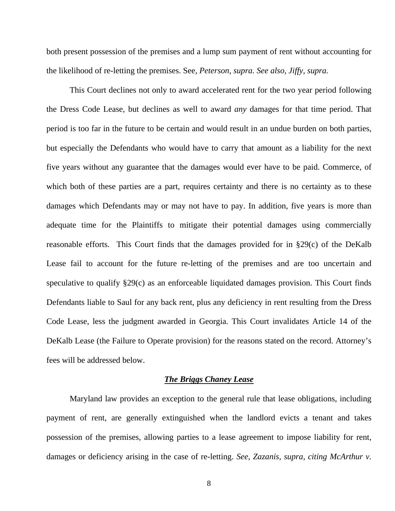both present possession of the premises and a lump sum payment of rent without accounting for the likelihood of re-letting the premises. See*, Peterson, supra. See also, Jiffy, supra.* 

This Court declines not only to award accelerated rent for the two year period following the Dress Code Lease, but declines as well to award *any* damages for that time period. That period is too far in the future to be certain and would result in an undue burden on both parties, but especially the Defendants who would have to carry that amount as a liability for the next five years without any guarantee that the damages would ever have to be paid. Commerce, of which both of these parties are a part, requires certainty and there is no certainty as to these damages which Defendants may or may not have to pay. In addition, five years is more than adequate time for the Plaintiffs to mitigate their potential damages using commercially reasonable efforts. This Court finds that the damages provided for in §29(c) of the DeKalb Lease fail to account for the future re-letting of the premises and are too uncertain and speculative to qualify §29(c) as an enforceable liquidated damages provision. This Court finds Defendants liable to Saul for any back rent, plus any deficiency in rent resulting from the Dress Code Lease, less the judgment awarded in Georgia. This Court invalidates Article 14 of the DeKalb Lease (the Failure to Operate provision) for the reasons stated on the record. Attorney's fees will be addressed below.

## *The Briggs Chaney Lease*

Maryland law provides an exception to the general rule that lease obligations, including payment of rent, are generally extinguished when the landlord evicts a tenant and takes possession of the premises, allowing parties to a lease agreement to impose liability for rent, damages or deficiency arising in the case of re-letting. *See, Zazanis, supra, citing McArthur v.*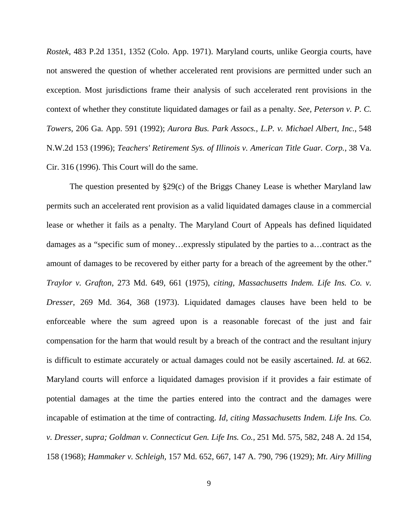*Rostek*, 483 P.2d 1351, 1352 (Colo. App. 1971). Maryland courts, unlike Georgia courts, have not answered the question of whether accelerated rent provisions are permitted under such an exception. Most jurisdictions frame their analysis of such accelerated rent provisions in the context of whether they constitute liquidated damages or fail as a penalty. *See, Peterson v. P. C. Towers*, 206 Ga. App. 591 (1992); *Aurora Bus. Park Assocs., L.P. v. Michael Albert, Inc.*, 548 N.W.2d 153 (1996); *Teachers' Retirement Sys. of Illinois v. American Title Guar. Corp.*, 38 Va. Cir. 316 (1996). This Court will do the same.

The question presented by §29(c) of the Briggs Chaney Lease is whether Maryland law permits such an accelerated rent provision as a valid liquidated damages clause in a commercial lease or whether it fails as a penalty. The Maryland Court of Appeals has defined liquidated damages as a "specific sum of money…expressly stipulated by the parties to a…contract as the amount of damages to be recovered by either party for a breach of the agreement by the other." *Traylor v. Grafton*, 273 Md. 649, 661 (1975), *citing, Massachusetts Indem. Life Ins. Co. v. Dresser*, 269 Md. 364, 368 (1973). Liquidated damages clauses have been held to be enforceable where the sum agreed upon is a reasonable forecast of the just and fair compensation for the harm that would result by a breach of the contract and the resultant injury is difficult to estimate accurately or actual damages could not be easily ascertained. *Id.* at 662. Maryland courts will enforce a liquidated damages provision if it provides a fair estimate of potential damages at the time the parties entered into the contract and the damages were incapable of estimation at the time of contracting. *Id*, *citing Massachusetts Indem. Life Ins. Co. v. Dresser, supra; Goldman v. Connecticut Gen. Life Ins. Co.,* 251 Md. 575, 582, 248 A. 2d 154, 158 (1968); *Hammaker v. Schleigh,* 157 Md. 652, 667, 147 A. 790, 796 (1929); *Mt. Airy Milling*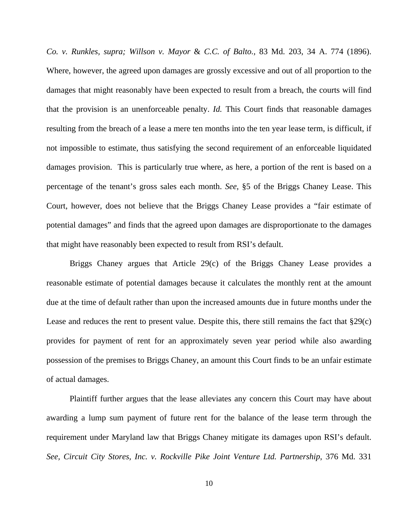*Co. v. Runkles, supra; Willson v. Mayor* & *C.C. of Balto.,* 83 Md. 203, 34 A. 774 (1896). Where, however, the agreed upon damages are grossly excessive and out of all proportion to the damages that might reasonably have been expected to result from a breach, the courts will find that the provision is an unenforceable penalty. *Id.* This Court finds that reasonable damages resulting from the breach of a lease a mere ten months into the ten year lease term, is difficult, if not impossible to estimate, thus satisfying the second requirement of an enforceable liquidated damages provision. This is particularly true where, as here, a portion of the rent is based on a percentage of the tenant's gross sales each month. *See*, §5 of the Briggs Chaney Lease. This Court, however, does not believe that the Briggs Chaney Lease provides a "fair estimate of potential damages" and finds that the agreed upon damages are disproportionate to the damages that might have reasonably been expected to result from RSI's default.

Briggs Chaney argues that Article 29(c) of the Briggs Chaney Lease provides a reasonable estimate of potential damages because it calculates the monthly rent at the amount due at the time of default rather than upon the increased amounts due in future months under the Lease and reduces the rent to present value. Despite this, there still remains the fact that §29(c) provides for payment of rent for an approximately seven year period while also awarding possession of the premises to Briggs Chaney, an amount this Court finds to be an unfair estimate of actual damages.

Plaintiff further argues that the lease alleviates any concern this Court may have about awarding a lump sum payment of future rent for the balance of the lease term through the requirement under Maryland law that Briggs Chaney mitigate its damages upon RSI's default. *See, Circuit City Stores, Inc. v. Rockville Pike Joint Venture Ltd. Partnership*, 376 Md. 331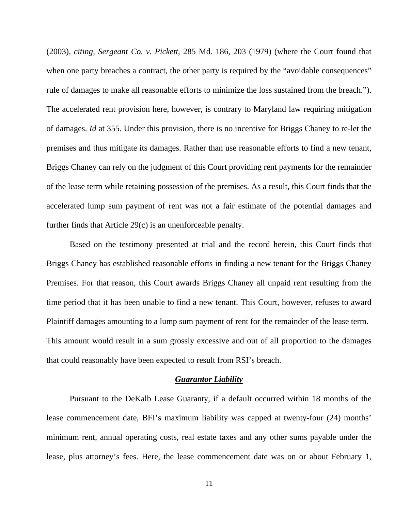(2003), *citing, Sergeant Co. v. Pickett*, 285 Md. 186, 203 (1979) (where the Court found that when one party breaches a contract, the other party is required by the "avoidable consequences" rule of damages to make all reasonable efforts to minimize the loss sustained from the breach."). The accelerated rent provision here, however, is contrary to Maryland law requiring mitigation of damages. *Id* at 355. Under this provision, there is no incentive for Briggs Chaney to re-let the premises and thus mitigate its damages. Rather than use reasonable efforts to find a new tenant, Briggs Chaney can rely on the judgment of this Court providing rent payments for the remainder of the lease term while retaining possession of the premises. As a result, this Court finds that the accelerated lump sum payment of rent was not a fair estimate of the potential damages and further finds that Article 29(c) is an unenforceable penalty.

Based on the testimony presented at trial and the record herein, this Court finds that Briggs Chaney has established reasonable efforts in finding a new tenant for the Briggs Chaney Premises. For that reason, this Court awards Briggs Chaney all unpaid rent resulting from the time period that it has been unable to find a new tenant. This Court, however, refuses to award Plaintiff damages amounting to a lump sum payment of rent for the remainder of the lease term. This amount would result in a sum grossly excessive and out of all proportion to the damages that could reasonably have been expected to result from RSI's breach.

## *Guarantor Liability*

Pursuant to the DeKalb Lease Guaranty, if a default occurred within 18 months of the lease commencement date, BFI's maximum liability was capped at twenty-four (24) months' minimum rent, annual operating costs, real estate taxes and any other sums payable under the lease, plus attorney's fees. Here, the lease commencement date was on or about February 1,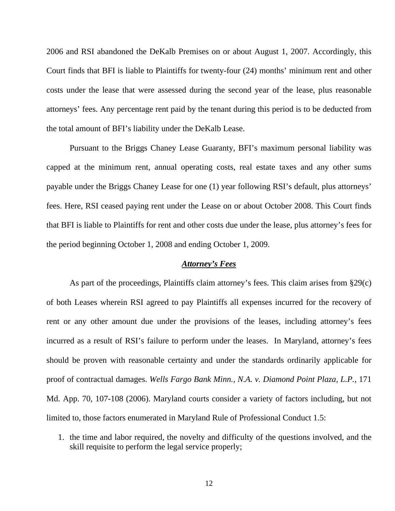2006 and RSI abandoned the DeKalb Premises on or about August 1, 2007. Accordingly, this Court finds that BFI is liable to Plaintiffs for twenty-four (24) months' minimum rent and other costs under the lease that were assessed during the second year of the lease, plus reasonable attorneys' fees. Any percentage rent paid by the tenant during this period is to be deducted from the total amount of BFI's liability under the DeKalb Lease.

Pursuant to the Briggs Chaney Lease Guaranty, BFI's maximum personal liability was capped at the minimum rent, annual operating costs, real estate taxes and any other sums payable under the Briggs Chaney Lease for one (1) year following RSI's default, plus attorneys' fees. Here, RSI ceased paying rent under the Lease on or about October 2008. This Court finds that BFI is liable to Plaintiffs for rent and other costs due under the lease, plus attorney's fees for the period beginning October 1, 2008 and ending October 1, 2009.

## *Attorney's Fees*

 As part of the proceedings, Plaintiffs claim attorney's fees. This claim arises from §29(c) of both Leases wherein RSI agreed to pay Plaintiffs all expenses incurred for the recovery of rent or any other amount due under the provisions of the leases, including attorney's fees incurred as a result of RSI's failure to perform under the leases. In Maryland, attorney's fees should be proven with reasonable certainty and under the standards ordinarily applicable for proof of contractual damages. *Wells Fargo Bank Minn., N.A. v. Diamond Point Plaza, L.P.*, 171 Md. App. 70, 107-108 (2006). Maryland courts consider a variety of factors including, but not limited to, those factors enumerated in Maryland Rule of Professional Conduct 1.5:

1. the time and labor required, the novelty and difficulty of the questions involved, and the skill requisite to perform the legal service properly;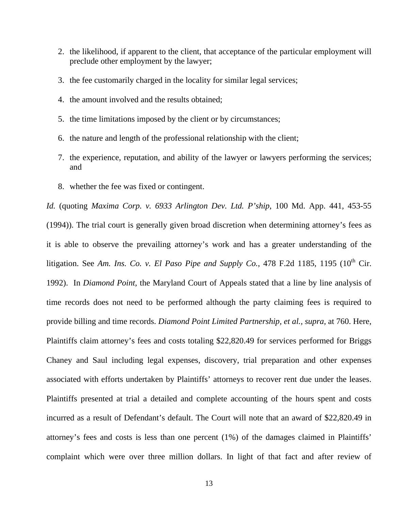- 2. the likelihood, if apparent to the client, that acceptance of the particular employment will preclude other employment by the lawyer;
- 3. the fee customarily charged in the locality for similar legal services;
- 4. the amount involved and the results obtained;
- 5. the time limitations imposed by the client or by circumstances;
- 6. the nature and length of the professional relationship with the client;
- 7. the experience, reputation, and ability of the lawyer or lawyers performing the services; and
- 8. whether the fee was fixed or contingent.

*Id.* (quoting *Maxima Corp. v. 6933 Arlington Dev. Ltd. P'ship*, 100 Md. App. 441, 453-55 (1994)). The trial court is generally given broad discretion when determining attorney's fees as it is able to observe the prevailing attorney's work and has a greater understanding of the litigation. See Am. Ins. Co. v. El Paso Pipe and Supply Co., 478 F.2d 1185, 1195 (10<sup>th</sup> Cir. 1992). In *Diamond Point*, the Maryland Court of Appeals stated that a line by line analysis of time records does not need to be performed although the party claiming fees is required to provide billing and time records. *Diamond Point Limited Partnership, et al., supra,* at 760. Here, Plaintiffs claim attorney's fees and costs totaling \$22,820.49 for services performed for Briggs Chaney and Saul including legal expenses, discovery, trial preparation and other expenses associated with efforts undertaken by Plaintiffs' attorneys to recover rent due under the leases. Plaintiffs presented at trial a detailed and complete accounting of the hours spent and costs incurred as a result of Defendant's default. The Court will note that an award of \$22,820.49 in attorney's fees and costs is less than one percent (1%) of the damages claimed in Plaintiffs' complaint which were over three million dollars. In light of that fact and after review of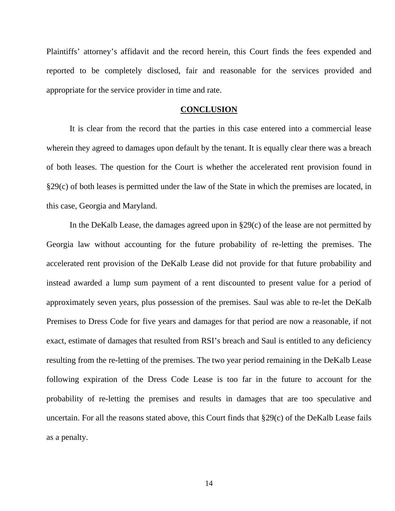Plaintiffs' attorney's affidavit and the record herein, this Court finds the fees expended and reported to be completely disclosed, fair and reasonable for the services provided and appropriate for the service provider in time and rate.

#### **CONCLUSION**

It is clear from the record that the parties in this case entered into a commercial lease wherein they agreed to damages upon default by the tenant. It is equally clear there was a breach of both leases. The question for the Court is whether the accelerated rent provision found in §29(c) of both leases is permitted under the law of the State in which the premises are located, in this case, Georgia and Maryland.

In the DeKalb Lease, the damages agreed upon in  $\S29(c)$  of the lease are not permitted by Georgia law without accounting for the future probability of re-letting the premises. The accelerated rent provision of the DeKalb Lease did not provide for that future probability and instead awarded a lump sum payment of a rent discounted to present value for a period of approximately seven years, plus possession of the premises. Saul was able to re-let the DeKalb Premises to Dress Code for five years and damages for that period are now a reasonable, if not exact, estimate of damages that resulted from RSI's breach and Saul is entitled to any deficiency resulting from the re-letting of the premises. The two year period remaining in the DeKalb Lease following expiration of the Dress Code Lease is too far in the future to account for the probability of re-letting the premises and results in damages that are too speculative and uncertain. For all the reasons stated above, this Court finds that §29(c) of the DeKalb Lease fails as a penalty.